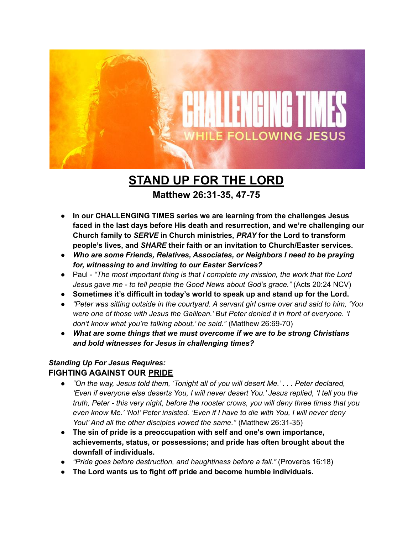

# **STAND UP FOR THE LORD**

### **Matthew 26:31-35, 47-75**

- **● In our CHALLENGING TIMES series we are learning from the challenges Jesus faced in the last days before His death and resurrection, and we're challenging our Church family to** *SERVE* **in Church ministries,** *PRAY* **for the Lord to transform people's lives, and** *SHARE* **their faith or an invitation to Church/Easter services.**
- *● Who are some Friends, Relatives, Associates, or Neighbors I need to be praying for, witnessing to and inviting to our Easter Services?*
- *●* Paul *"The most important thing is that I complete my mission, the work that the Lord Jesus gave me - to tell people the Good News about God's grace."* (Acts 20:24 NCV)
- **● Sometimes it's difficult in today's world to speak up and stand up for the Lord.**
- *● "Peter was sitting outside in the courtyard. A servant girl came over and said to him, 'You were one of those with Jesus the Galilean.' But Peter denied it in front of everyone. 'I don't know what you're talking about,' he said."* (Matthew 26:69-70)
- *● What are some things that we must overcome if we are to be strong Christians and bold witnesses for Jesus in challenging times?*

#### *Standing Up For Jesus Requires:* **FIGHTING AGAINST OUR PRIDE**

- *● "On the way, Jesus told them, 'Tonight all of you will desert Me.' . . . Peter declared, 'Even if everyone else deserts You, I will never desert You.' Jesus replied, 'I tell you the truth, Peter - this very night, before the rooster crows, you will deny three times that you even know Me.' 'No!' Peter insisted. 'Even if I have to die with You, I will never deny You!' And all the other disciples vowed the same."* (Matthew 26:31-35)
- **● The sin of pride is a preoccupation with self and one's own importance, achievements, status, or possessions; and pride has often brought about the downfall of individuals.**
- *● "Pride goes before destruction, and haughtiness before a fall."* (Proverbs 16:18)
- **● The Lord wants us to fight off pride and become humble individuals.**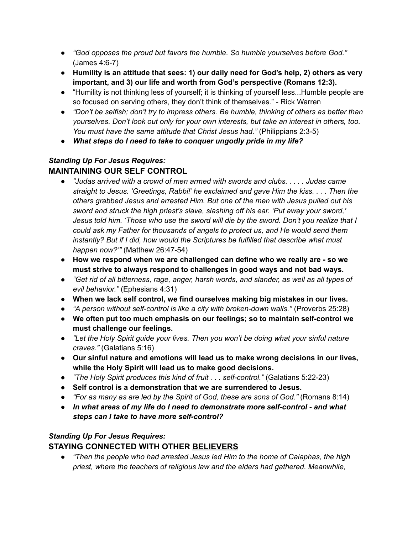- *● "God opposes the proud but favors the humble. So humble yourselves before God."* (James 4:6-7)
- *●* **Humility is an attitude that sees: 1) our daily need for God's help, 2) others as very important, and 3) our life and worth from God's perspective (Romans 12:3).**
- "Humility is not thinking less of yourself; it is thinking of yourself less...Humble people are so focused on serving others, they don't think of themselves." - Rick Warren
- *"Don't be selfish; don't try to impress others. Be humble, thinking of others as better than yourselves. Don't look out only for your own interests, but take an interest in others, too. You must have the same attitude that Christ Jesus had."* (Philippians 2:3-5)
- *● What steps do I need to take to conquer ungodly pride in my life?*

#### *Standing Up For Jesus Requires:* **MAINTAINING OUR SELF CONTROL**

- *● "Judas arrived with a crowd of men armed with swords and clubs. . . . . Judas came straight to Jesus. 'Greetings, Rabbi!' he exclaimed and gave Him the kiss. . . . Then the others grabbed Jesus and arrested Him. But one of the men with Jesus pulled out his sword and struck the high priest's slave, slashing off his ear. 'Put away your sword,' Jesus told him. 'Those who use the sword will die by the sword. Don't you realize that I could ask my Father for thousands of angels to protect us, and He would send them instantly? But if I did, how would the Scriptures be fulfilled that describe what must happen now?'"* (Matthew 26:47-54)
- **● How we respond when we are challenged can define who we really are - so we must strive to always respond to challenges in good ways and not bad ways.**
- *● "Get rid of all bitterness, rage, anger, harsh words, and slander, as well as all types of evil behavior."* (Ephesians 4:31)
- **● When we lack self control, we find ourselves making big mistakes in our lives.**
- *"A person without self-control is like a city with broken-down walls."* (Proverbs 25:28)
- **● We often put too much emphasis on our feelings; so to maintain self-control we must challenge our feelings.**
- *● "Let the Holy Spirit guide your lives. Then you won't be doing what your sinful nature craves."* (Galatians 5:16)
- **● Our sinful nature and emotions will lead us to make wrong decisions in our lives, while the Holy Spirit will lead us to make good decisions.**
- *"The Holy Spirit produces this kind of fruit . . . self-control."* (Galatians 5:22-23)
- **● Self control is a demonstration that we are surrendered to Jesus.**
- *● "For as many as are led by the Spirit of God, these are sons of God."* (Romans 8:14)
- *● In what areas of my life do I need to demonstrate more self-control - and what steps can I take to have more self-control?*

## *Standing Up For Jesus Requires:*

## **STAYING CONNECTED WITH OTHER BELIEVERS**

*● "Then the people who had arrested Jesus led Him to the home of Caiaphas, the high priest, where the teachers of religious law and the elders had gathered. Meanwhile,*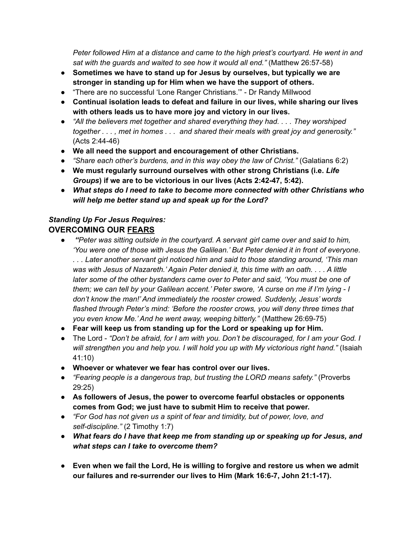*Peter followed Him at a distance and came to the high priest's courtyard. He went in and sat with the guards and waited to see how it would all end."* (Matthew 26:57-58)

- **Sometimes we have to stand up for Jesus by ourselves, but typically we are stronger in standing up for Him when we have the support of others.**
- "There are no successful 'Lone Ranger Christians.'" Dr Randy Millwood
- **Continual isolation leads to defeat and failure in our lives, while sharing our lives with others leads us to have more joy and victory in our lives.**
- *● "All the believers met together and shared everything they had. . . . They worshiped* together . . . , met in homes . . . and shared their meals with great joy and generosity." (Acts 2:44-46)
- **We all need the support and encouragement of other Christians.**
- *● "Share each other's burdens, and in this way obey the law of Christ."* (Galatians 6:2)
- **We must regularly surround ourselves with other strong Christians (i.e.** *Life Groups***) if we are to be victorious in our lives (Acts 2:42-47, 5:42).**
- *● What steps do I need to take to become more connected with other Christians who will help me better stand up and speak up for the Lord?*

#### *Standing Up For Jesus Requires:* **OVERCOMING OUR FEARS**

- *● "Peter was sitting outside in the courtyard. A servant girl came over and said to him, 'You were one of those with Jesus the Galilean.' But Peter denied it in front of everyone. . . . Later another servant girl noticed him and said to those standing around, 'This man was with Jesus of Nazareth.' Again Peter denied it, this time with an oath. . . . A little later some of the other bystanders came over to Peter and said, 'You must be one of them; we can tell by your Galilean accent.' Peter swore, 'A curse on me if I'm lying - I don't know the man!' And immediately the rooster crowed. Suddenly, Jesus' words flashed through Peter's mind: 'Before the rooster crows, you will deny three times that you even know Me.' And he went away, weeping bitterly."* (Matthew 26:69-75)
- **● Fear will keep us from standing up for the Lord or speaking up for Him.**
- *●* The Lord *"Don't be afraid, for I am with you. Don't be discouraged, for I am your God. I will strengthen you and help you. I will hold you up with My victorious right hand."* (Isaiah 41:10)
- **● Whoever or whatever we fear has control over our lives.**
- **●** *"Fearing people is a dangerous trap, but trusting the LORD means safety."* (Proverbs 29:25)
- **● As followers of Jesus, the power to overcome fearful obstacles or opponents comes from God; we just have to submit Him to receive that power.**
- **●** *"For God has not given us a spirit of fear and timidity, but of power, love, and self-discipline."* (2 Timothy 1:7)
- *● What fears do I have that keep me from standing up or speaking up for Jesus, and what steps can I take to overcome them?*
- **● Even when we fail the Lord, He is willing to forgive and restore us when we admit our failures and re-surrender our lives to Him (Mark 16:6-7, John 21:1-17).**